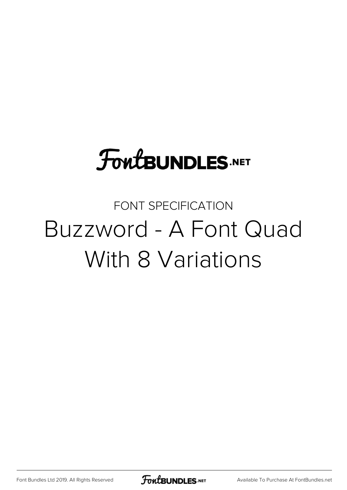# **FoutBUNDLES.NET**

### FONT SPECIFICATION Buzzword - A Font Quad With 8 Variations

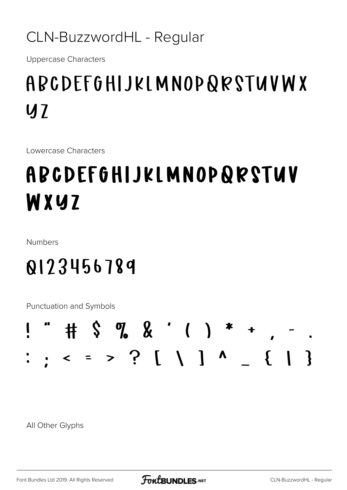#### CLN-BuzzwordHL - Regular

**Uppercase Characters** 

## ABCDEFGHIJKLMNOPQRSTUVWX  $U<sub>1</sub>$

Lowercase Characters

# ABCDEFGHIJKLMNOPQRSTUV WXYZ

**Numbers** 

## 0123456789

**Punctuation and Symbols** 

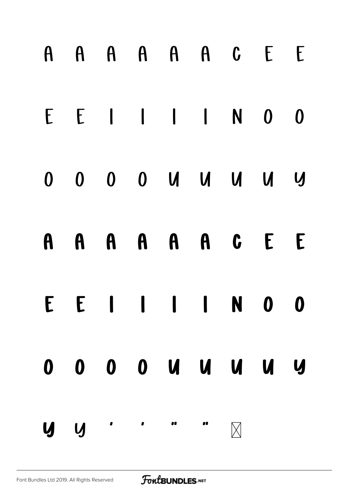|     |  |  | A A A A A A C E E       |             |                  |
|-----|--|--|-------------------------|-------------|------------------|
|     |  |  | $E E I I I I N 0$       |             | $\boldsymbol{0}$ |
|     |  |  | 0 0 0 0 0 0 0 0 0 0 0   |             |                  |
|     |  |  | A A A A A A C E E       |             |                  |
|     |  |  | E E I I I I N 0 0       |             |                  |
|     |  |  | 0 0 0 0 0 0 0 0 0 0 0 0 |             |                  |
| y y |  |  |                         | $\boxtimes$ |                  |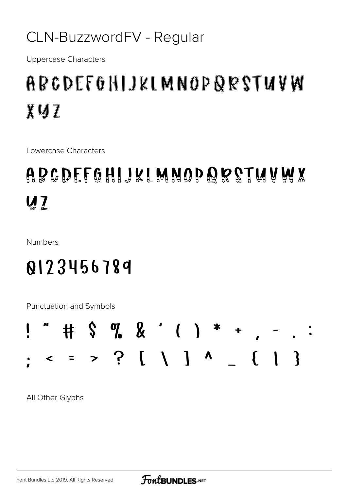#### CLN-BuzzwordFV - Regular

**Uppercase Characters** 

## ABCDEFGHIJKLMNOPQRSTUVW XUZ

Lowercase Characters

## ABCDEFGHIJKIMNOPQRSTUVWX  $\boldsymbol{M}$

**Numbers** 

#### 0123456789

Punctuation and Symbols

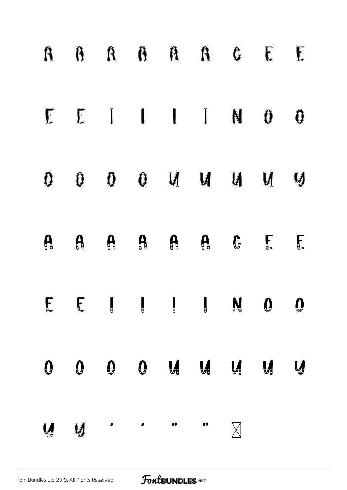| A                | A                  | A                | A                             |                                             | $A$ $A$           | $\mathbb{G}$      |                   | $\sqrt{\frac{1}{2}}$ |
|------------------|--------------------|------------------|-------------------------------|---------------------------------------------|-------------------|-------------------|-------------------|----------------------|
|                  |                    |                  |                               | $E \quad E \quad 1 \quad 1 \quad 1 \quad N$ |                   |                   | $\mathbf 0$       | $\bm{0}$             |
| $\mathbf{0}$     | $\mathbf{0}$       | $\mathbf{0}$     |                               | $M$ $M$ $O$                                 |                   |                   | M                 | $\mathcal{G}$        |
| A                | $\mathbf{\theta}$  | $\mathbf{a}$     | $\mathbf{A}$                  |                                             | A                 |                   | $G$ $E$           | $\mathbf{F}$         |
| $\blacksquare$   |                    |                  |                               |                                             |                   |                   |                   | $\boldsymbol{0}$     |
| $\boldsymbol{0}$ | $\pmb{\mathbb{Q}}$ | $\boldsymbol{0}$ | $\pmb{\theta}$                | $\bigcup_{i=1}^n$                           | $\bigcup_{i=1}^n$ | $\bigcup_{i=1}^n$ | $\bigcup_{i=1}^n$ | Ų                    |
| Ų                | $\boldsymbol{U}$   |                  | $\mathbf{I}$ and $\mathbf{I}$ | $\mathbf{u}$                                | $\bullet$         |                   |                   |                      |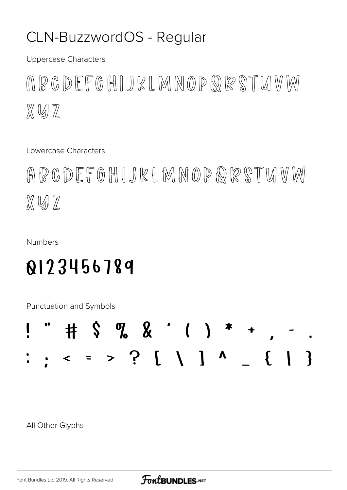#### CLN-BuzzwordOS - Regular

**Uppercase Characters** 

ABCDEFGHIJKLMNOPQRSTUVM  $X \cup Z$ 

Lowercase Characters

ABCDEFGHIJKLMNOPQRSTUMW XVII

**Numbers** 

#### 0123456789

Punctuation and Symbols

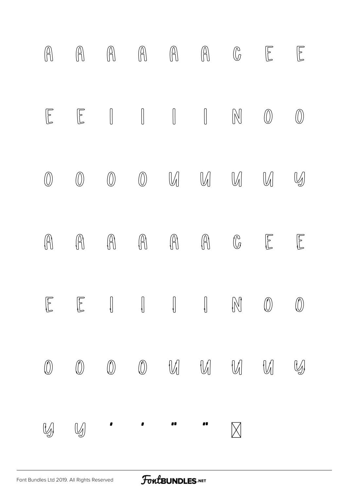

#### FontBUNDLES.NET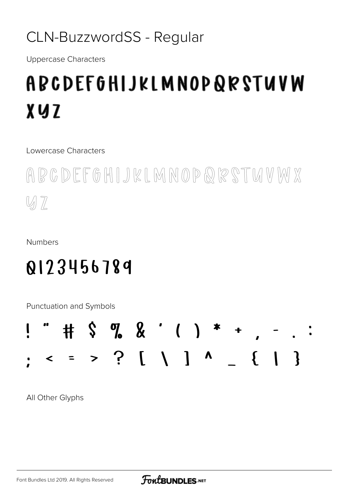#### CLN-BuzzwordSS - Regular

**Uppercase Characters** 

# ABCDEFGHIJKLMNOPQRSTUVW **XVZ**

Lowercase Characters

ABCDEFGHIJKLMNOPQRSTMVMX  $\mathbb{W} \mathbb{Z}$ 

**Numbers** 

#### 0123456789

Punctuation and Symbols